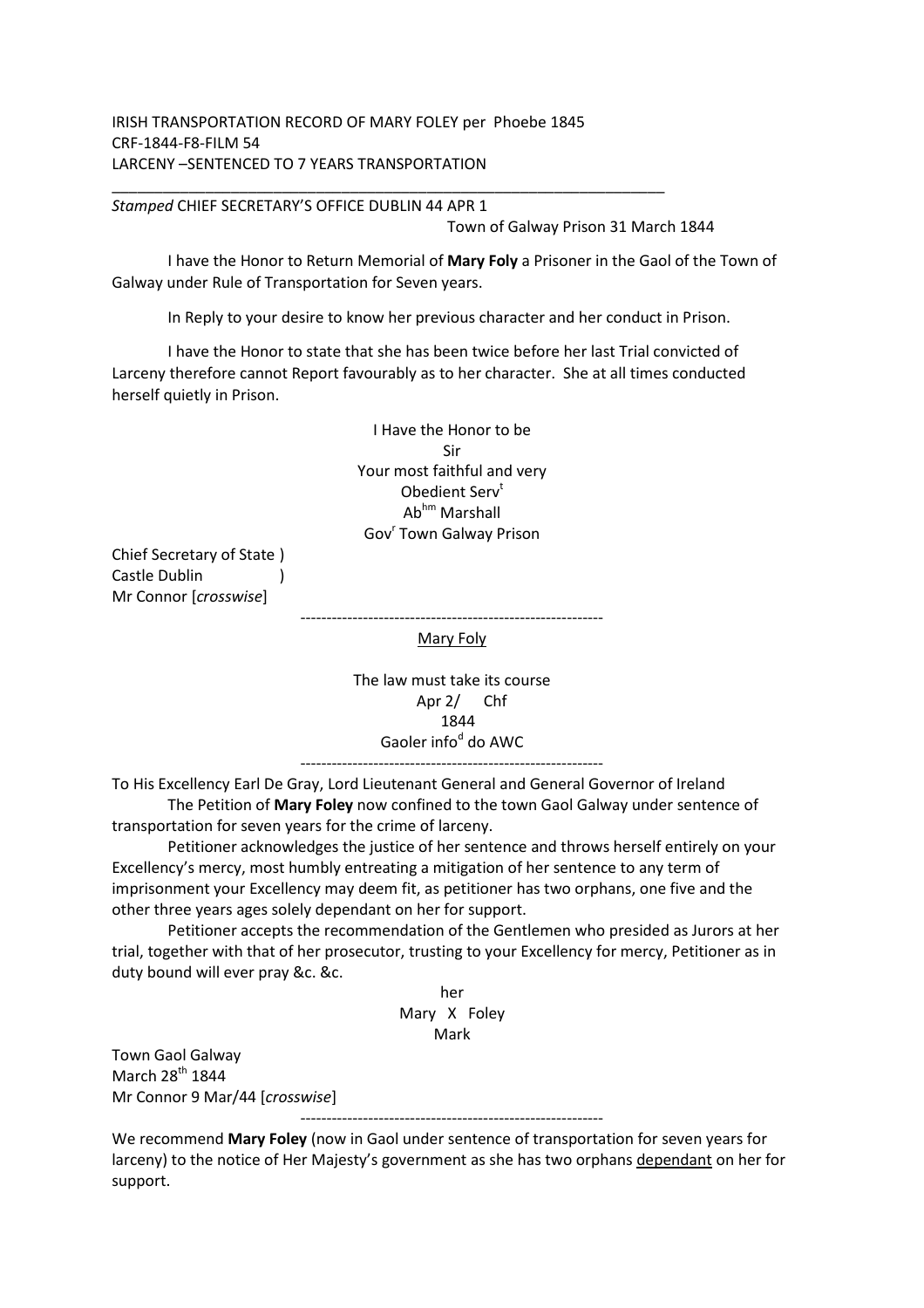## IRISH TRANSPORTATION RECORD OF MARY FOLEY per Phoebe 1845 CRF-1844-F8-FILM 54 LARCENY –SENTENCED TO 7 YEARS TRANSPORTATION

*Stamped* CHIEF SECRETARY'S OFFICE DUBLIN 44 APR 1

Town of Galway Prison 31 March 1844

 I have the Honor to Return Memorial of **Mary Foly** a Prisoner in the Gaol of the Town of Galway under Rule of Transportation for Seven years.

In Reply to your desire to know her previous character and her conduct in Prison.

 I have the Honor to state that she has been twice before her last Trial convicted of Larceny therefore cannot Report favourably as to her character. She at all times conducted herself quietly in Prison.

> I Have the Honor to be Sir Your most faithful and very Obedient Serv<sup>t</sup> Abhm Marshall Gov<sup>r</sup> Town Galway Prison

Chief Secretary of State ) Castle Dublin ) Mr Connor [*crosswise*]

> ---------------------------------------------------------- Mary Foly

> > The law must take its course Apr 2/ Chf 1844 Gaoler info<sup>d</sup> do AWC

To His Excellency Earl De Gray, Lord Lieutenant General and General Governor of Ireland The Petition of **Mary Foley** now confined to the town Gaol Galway under sentence of

transportation for seven years for the crime of larceny.

 Petitioner acknowledges the justice of her sentence and throws herself entirely on your Excellency's mercy, most humbly entreating a mitigation of her sentence to any term of imprisonment your Excellency may deem fit, as petitioner has two orphans, one five and the other three years ages solely dependant on her for support.

 Petitioner accepts the recommendation of the Gentlemen who presided as Jurors at her trial, together with that of her prosecutor, trusting to your Excellency for mercy, Petitioner as in duty bound will ever pray &c. &c.

> her Mary X Foley Mark

Town Gaol Galway March 28<sup>th</sup> 1844 Mr Connor 9 Mar/44 [*crosswise*]

----------------------------------------------------------

We recommend **Mary Foley** (now in Gaol under sentence of transportation for seven years for larceny) to the notice of Her Majesty's government as she has two orphans dependant on her for support.